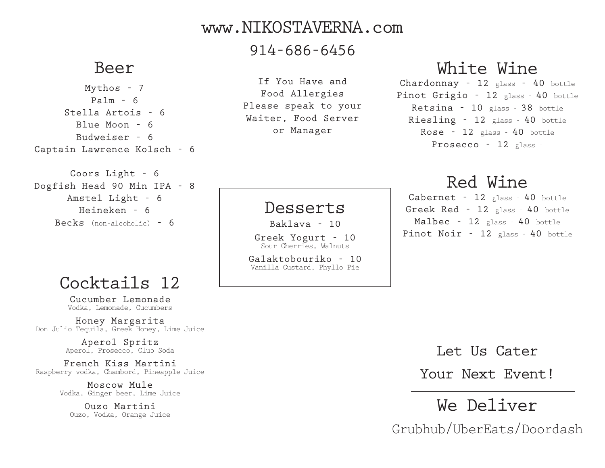#### www.NIKOSTAVERNA.com

#### 914-686-6456

#### Beer

Mythos - 7  $Pa1m - 6$ Stella Artois - 6  $B1u$ e Moon - 6 Budweiser - 6 Captain Lawrence Kolsch - 6

Coors Light - 6 Dogfish Head 90 Min IPA - 8 Amstel Light - 6 Heineken - 6 Becks (non-alcoholic) - 6

### Cocktails 12

Cucumber Lemonade Vodka, Lemonade, Cucumbers

Honey Margarita Don Julio Tequila, Greek Honey, Lime Juice

> Aperol Spritz Aperol, Prosecco, Club Soda

French Kiss Martini Raspberry vodka, Chambord, Pineapple Juice

> Moscow Mule Vodka, Ginger beer, Lime Juice

Ouzo Martini Ouzo, Vodka, Orange Juice

If You Have and Food Allergies Please speak to your Waiter, Food Server or Manager

## White Wine

Chardonnay - 12 glass - 40 bottle Pinot Grigio - 12 glass - 40 bottle Retsina - 10 glass - 38 bottle Riesling - 12 glass - 40 bottle Rose - 12 glass - 40 bottle Prosecco - 12 glass -

## Red Wine

Cabernet - 12 glass - 40 bottle Greek Red - 12 glass - 40 bottle Malbec - 12 glass - 40 bottle Pinot Noir - 12 glass - 40 bottle

Galaktobouriko - 10 Vanilla Custard, Phyllo Pie

Desserts

Baklava - 10 Greek Yogurt - 10 Sour Cherries, Walnuts

Let Us Cater

Your Next Event!

We Deliver Grubhub/UberEats/Doordash